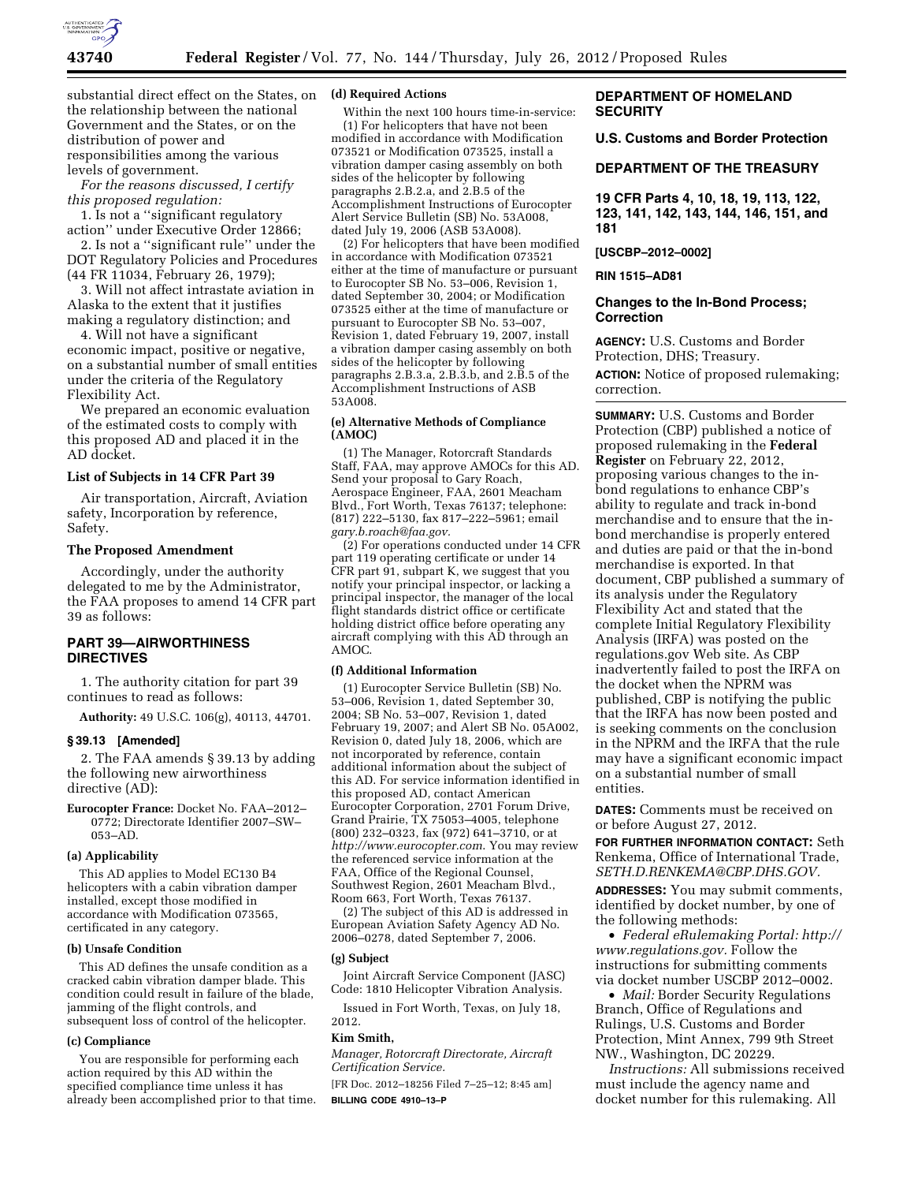

substantial direct effect on the States, on the relationship between the national Government and the States, or on the distribution of power and responsibilities among the various levels of government.

*For the reasons discussed, I certify this proposed regulation:* 

1. Is not a ''significant regulatory action'' under Executive Order 12866;

2. Is not a ''significant rule'' under the DOT Regulatory Policies and Procedures (44 FR 11034, February 26, 1979);

3. Will not affect intrastate aviation in Alaska to the extent that it justifies making a regulatory distinction; and

4. Will not have a significant economic impact, positive or negative, on a substantial number of small entities under the criteria of the Regulatory Flexibility Act.

We prepared an economic evaluation of the estimated costs to comply with this proposed AD and placed it in the AD docket.

## **List of Subjects in 14 CFR Part 39**

Air transportation, Aircraft, Aviation safety, Incorporation by reference, Safety.

## **The Proposed Amendment**

Accordingly, under the authority delegated to me by the Administrator, the FAA proposes to amend 14 CFR part 39 as follows:

# **PART 39—AIRWORTHINESS DIRECTIVES**

1. The authority citation for part 39 continues to read as follows:

**Authority:** 49 U.S.C. 106(g), 40113, 44701.

#### **§ 39.13 [Amended]**

2. The FAA amends § 39.13 by adding the following new airworthiness directive (AD):

**Eurocopter France:** Docket No. FAA–2012– 0772; Directorate Identifier 2007–SW– 053–AD.

# **(a) Applicability**

This AD applies to Model EC130 B4 helicopters with a cabin vibration damper installed, except those modified in accordance with Modification 073565, certificated in any category.

#### **(b) Unsafe Condition**

This AD defines the unsafe condition as a cracked cabin vibration damper blade. This condition could result in failure of the blade, jamming of the flight controls, and subsequent loss of control of the helicopter.

## **(c) Compliance**

You are responsible for performing each action required by this AD within the specified compliance time unless it has already been accomplished prior to that time.

#### **(d) Required Actions**

Within the next 100 hours time-in-service:

(1) For helicopters that have not been modified in accordance with Modification 073521 or Modification 073525, install a vibration damper casing assembly on both sides of the helicopter by following paragraphs 2.B.2.a, and 2.B.5 of the Accomplishment Instructions of Eurocopter Alert Service Bulletin (SB) No. 53A008, dated July 19, 2006 (ASB 53A008).

(2) For helicopters that have been modified in accordance with Modification 073521 either at the time of manufacture or pursuant to Eurocopter SB No. 53–006, Revision 1, dated September 30, 2004; or Modification 073525 either at the time of manufacture or pursuant to Eurocopter SB No. 53–007, Revision 1, dated February 19, 2007, install a vibration damper casing assembly on both sides of the helicopter by following paragraphs  $2.B.3.a.$ ,  $2.B.3.b.$  and  $2.B.5$  of the Accomplishment Instructions of ASB 53A008.

## **(e) Alternative Methods of Compliance (AMOC)**

(1) The Manager, Rotorcraft Standards Staff, FAA, may approve AMOCs for this AD. Send your proposal to Gary Roach, Aerospace Engineer, FAA, 2601 Meacham Blvd., Fort Worth, Texas 76137; telephone: (817) 222–5130, fax 817–222–5961; email *[gary.b.roach@faa.gov.](mailto:gary.b.roach@faa.gov)* 

(2) For operations conducted under 14 CFR part 119 operating certificate or under 14 CFR part 91, subpart K, we suggest that you notify your principal inspector, or lacking a principal inspector, the manager of the local flight standards district office or certificate holding district office before operating any aircraft complying with this AD through an AMOC.

#### **(f) Additional Information**

(1) Eurocopter Service Bulletin (SB) No. 53–006, Revision 1, dated September 30, 2004; SB No. 53–007, Revision 1, dated February 19, 2007; and Alert SB No. 05A002, Revision 0, dated July 18, 2006, which are not incorporated by reference, contain additional information about the subject of this AD. For service information identified in this proposed AD, contact American Eurocopter Corporation, 2701 Forum Drive, Grand Prairie, TX 75053–4005, telephone (800) 232–0323, fax (972) 641–3710, or at *<http://www.eurocopter.com>*. You may review the referenced service information at the FAA, Office of the Regional Counsel, Southwest Region, 2601 Meacham Blvd., Room 663, Fort Worth, Texas 76137.

(2) The subject of this AD is addressed in European Aviation Safety Agency AD No. 2006–0278, dated September 7, 2006.

# **(g) Subject**

Joint Aircraft Service Component (JASC) Code: 1810 Helicopter Vibration Analysis.

Issued in Fort Worth, Texas, on July 18, 2012.

## **Kim Smith,**

*Manager, Rotorcraft Directorate, Aircraft Certification Service.* 

[FR Doc. 2012–18256 Filed 7–25–12; 8:45 am] **BILLING CODE 4910–13–P** 

# **DEPARTMENT OF HOMELAND SECURITY**

**U.S. Customs and Border Protection** 

## **DEPARTMENT OF THE TREASURY**

**19 CFR Parts 4, 10, 18, 19, 113, 122, 123, 141, 142, 143, 144, 146, 151, and 181** 

#### **[USCBP–2012–0002]**

## **RIN 1515–AD81**

# **Changes to the In-Bond Process; Correction**

**AGENCY:** U.S. Customs and Border Protection, DHS; Treasury.

**ACTION:** Notice of proposed rulemaking; correction.

**SUMMARY:** U.S. Customs and Border Protection (CBP) published a notice of proposed rulemaking in the **Federal Register** on February 22, 2012, proposing various changes to the inbond regulations to enhance CBP's ability to regulate and track in-bond merchandise and to ensure that the inbond merchandise is properly entered and duties are paid or that the in-bond merchandise is exported. In that document, CBP published a summary of its analysis under the Regulatory Flexibility Act and stated that the complete Initial Regulatory Flexibility Analysis (IRFA) was posted on the regulations.gov Web site. As CBP inadvertently failed to post the IRFA on the docket when the NPRM was published, CBP is notifying the public that the IRFA has now been posted and is seeking comments on the conclusion in the NPRM and the IRFA that the rule may have a significant economic impact on a substantial number of small entities.

**DATES:** Comments must be received on or before August 27, 2012.

**FOR FURTHER INFORMATION CONTACT:** Seth Renkema, Office of International Trade, *[SETH.D.RENKEMA@CBP.DHS.GOV.](mailto:SETH.D.RENKEMA@CBP.DHS.GOV)* 

**ADDRESSES:** You may submit comments, identified by docket number, by one of the following methods:

• *Federal eRulemaking Portal: [http://](http://www.regulations.gov)  [www.regulations.gov.](http://www.regulations.gov)* Follow the instructions for submitting comments via docket number USCBP 2012–0002.

• *Mail:* Border Security Regulations Branch, Office of Regulations and Rulings, U.S. Customs and Border Protection, Mint Annex, 799 9th Street NW., Washington, DC 20229.

*Instructions:* All submissions received must include the agency name and docket number for this rulemaking. All